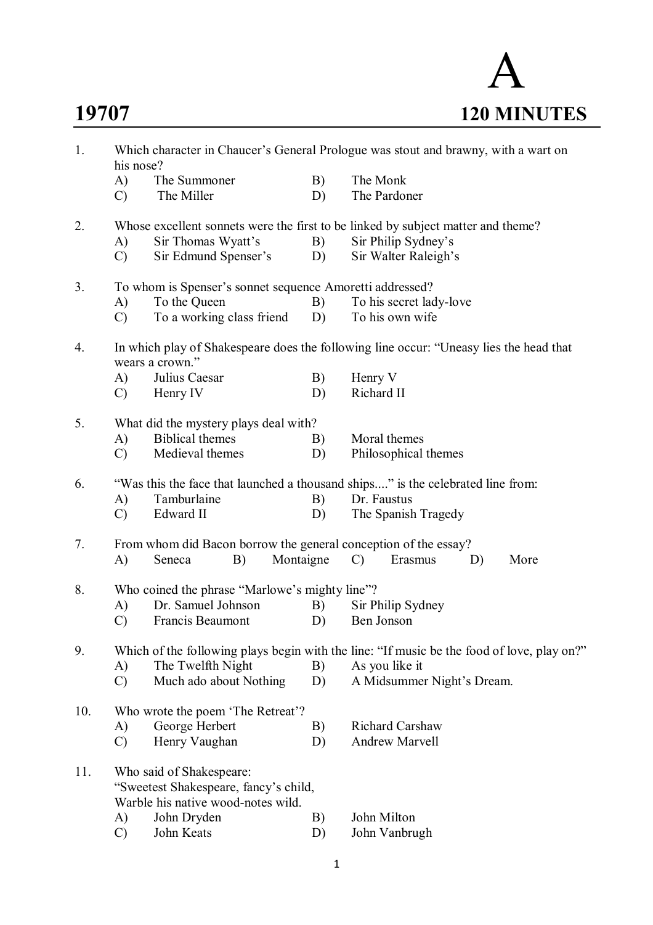A **19707 120 MINUTES**

| 1.  | Which character in Chaucer's General Prologue was stout and brawny, with a wart on<br>his nose? |                                                                   |           |                                                                                        |  |  |  |  |  |
|-----|-------------------------------------------------------------------------------------------------|-------------------------------------------------------------------|-----------|----------------------------------------------------------------------------------------|--|--|--|--|--|
|     | A)                                                                                              | The Summoner                                                      | B)        | The Monk                                                                               |  |  |  |  |  |
|     | $\mathcal{C}$                                                                                   | The Miller                                                        | D)        | The Pardoner                                                                           |  |  |  |  |  |
|     |                                                                                                 |                                                                   |           |                                                                                        |  |  |  |  |  |
| 2.  |                                                                                                 |                                                                   |           | Whose excellent sonnets were the first to be linked by subject matter and theme?       |  |  |  |  |  |
|     | A)                                                                                              | Sir Thomas Wyatt's                                                | B)        | Sir Philip Sydney's                                                                    |  |  |  |  |  |
|     | $\mathcal{C}$                                                                                   | Sir Edmund Spenser's                                              | D)        | Sir Walter Raleigh's                                                                   |  |  |  |  |  |
| 3.  | To whom is Spenser's sonnet sequence Amoretti addressed?                                        |                                                                   |           |                                                                                        |  |  |  |  |  |
|     | A)                                                                                              | To the Queen                                                      | B)        | To his secret lady-love                                                                |  |  |  |  |  |
|     | $\mathcal{C}$                                                                                   | To a working class friend                                         | D)        | To his own wife                                                                        |  |  |  |  |  |
| 4.  |                                                                                                 | wears a crown."                                                   |           | In which play of Shakespeare does the following line occur: "Uneasy lies the head that |  |  |  |  |  |
|     | A)                                                                                              | Julius Caesar                                                     | B)        | Henry V                                                                                |  |  |  |  |  |
|     | $\mathcal{C}$                                                                                   | Henry IV                                                          | D)        | Richard II                                                                             |  |  |  |  |  |
| 5.  |                                                                                                 | What did the mystery plays deal with?                             |           |                                                                                        |  |  |  |  |  |
|     | A)                                                                                              | <b>Biblical themes</b>                                            | B)        | Moral themes                                                                           |  |  |  |  |  |
|     | $\mathcal{C}$                                                                                   | Medieval themes                                                   | D)        | Philosophical themes                                                                   |  |  |  |  |  |
| 6.  | "Was this the face that launched a thousand ships" is the celebrated line from:                 |                                                                   |           |                                                                                        |  |  |  |  |  |
|     | A)                                                                                              | Tamburlaine                                                       | B)        | Dr. Faustus                                                                            |  |  |  |  |  |
|     | $\mathcal{C}$                                                                                   | Edward II                                                         | D)        | The Spanish Tragedy                                                                    |  |  |  |  |  |
|     |                                                                                                 |                                                                   |           |                                                                                        |  |  |  |  |  |
| 7.  |                                                                                                 | From whom did Bacon borrow the general conception of the essay?   |           |                                                                                        |  |  |  |  |  |
|     | A)                                                                                              | B)<br>Seneca                                                      | Montaigne | $\mathcal{C}$<br>Erasmus<br>More<br>D)                                                 |  |  |  |  |  |
| 8.  | Who coined the phrase "Marlowe's mighty line"?                                                  |                                                                   |           |                                                                                        |  |  |  |  |  |
|     | A)                                                                                              | Dr. Samuel Johnson                                                | B)        | Sir Philip Sydney                                                                      |  |  |  |  |  |
|     | $\mathcal{C}$                                                                                   | Francis Beaumont                                                  | D)        | Ben Jonson                                                                             |  |  |  |  |  |
| 9.  | Which of the following plays begin with the line: "If music be the food of love, play on?"      |                                                                   |           |                                                                                        |  |  |  |  |  |
|     | A)                                                                                              | The Twelfth Night                                                 | B)        | As you like it                                                                         |  |  |  |  |  |
|     | $\mathcal{C}$                                                                                   | Much ado about Nothing                                            | D)        | A Midsummer Night's Dream.                                                             |  |  |  |  |  |
| 10. |                                                                                                 | Who wrote the poem 'The Retreat'?                                 |           |                                                                                        |  |  |  |  |  |
|     | A)                                                                                              | George Herbert                                                    | B)        | <b>Richard Carshaw</b>                                                                 |  |  |  |  |  |
|     | $\mathcal{C}$                                                                                   | Henry Vaughan                                                     | D)        | <b>Andrew Marvell</b>                                                                  |  |  |  |  |  |
| 11. |                                                                                                 | Who said of Shakespeare:<br>"Sweetest Shakespeare, fancy's child, |           |                                                                                        |  |  |  |  |  |
|     |                                                                                                 | Warble his native wood-notes wild.                                |           |                                                                                        |  |  |  |  |  |
|     | A)                                                                                              | John Dryden                                                       | B)        | John Milton                                                                            |  |  |  |  |  |
|     | $\mathcal{C}$                                                                                   | John Keats                                                        | D)        | John Vanbrugh                                                                          |  |  |  |  |  |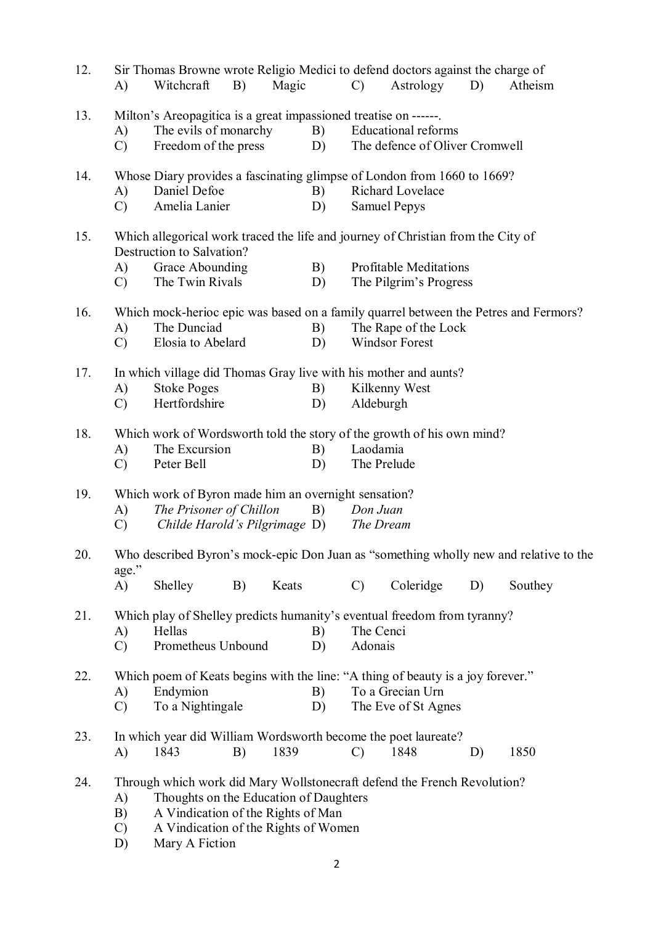| 12. | A)                              | Sir Thomas Browne wrote Religio Medici to defend doctors against the charge of<br>Witchcraft                                                                                                                       | B) | Magic |          | $\mathcal{C}$ )      | Astrology                                                    | D) | Atheism                                                                                          |
|-----|---------------------------------|--------------------------------------------------------------------------------------------------------------------------------------------------------------------------------------------------------------------|----|-------|----------|----------------------|--------------------------------------------------------------|----|--------------------------------------------------------------------------------------------------|
| 13. | A)<br>$\mathcal{C}$             | Milton's Areopagitica is a great impassioned treatise on ------.<br>The evils of monarchy<br>Freedom of the press                                                                                                  |    |       | B)<br>D) |                      | <b>Educational reforms</b><br>The defence of Oliver Cromwell |    |                                                                                                  |
| 14. | A)<br>$\mathcal{C}$             | Whose Diary provides a fascinating glimpse of London from 1660 to 1669?<br>Daniel Defoe<br>Amelia Lanier                                                                                                           |    |       | B)<br>D) |                      | Richard Lovelace<br><b>Samuel Pepys</b>                      |    |                                                                                                  |
| 15. | A)<br>$\mathcal{C}$             | Which allegorical work traced the life and journey of Christian from the City of<br>Destruction to Salvation?<br>Grace Abounding<br>The Twin Rivals                                                                |    |       | B)<br>D) |                      | <b>Profitable Meditations</b><br>The Pilgrim's Progress      |    |                                                                                                  |
| 16. | A)<br>$\mathcal{C}$             | The Dunciad<br>Elosia to Abelard                                                                                                                                                                                   |    |       | B)<br>D) |                      | The Rape of the Lock<br>Windsor Forest                       |    | Which mock-herioc epic was based on a family quarrel between the Petres and Fermors?             |
| 17. | A)<br>$\mathcal{C}$             | In which village did Thomas Gray live with his mother and aunts?<br><b>Stoke Poges</b><br>Hertfordshire                                                                                                            |    |       | B)<br>D) |                      | Kilkenny West<br>Aldeburgh                                   |    |                                                                                                  |
| 18. | A)<br>$\mathcal{C}$             | Which work of Wordsworth told the story of the growth of his own mind?<br>The Excursion<br>Peter Bell                                                                                                              |    |       | B)<br>D) | Laodamia             | The Prelude                                                  |    |                                                                                                  |
| 19. | A)<br>$\mathcal{C}$             | Which work of Byron made him an overnight sensation?<br>The Prisoner of Chillon<br>Childe Harold's Pilgrimage D)                                                                                                   |    |       | B)       | Don Juan             | The Dream                                                    |    |                                                                                                  |
| 20. | age."<br>A)                     | Shelley                                                                                                                                                                                                            | B) | Keats |          | $\mathcal{C}$        | Coleridge                                                    | D) | Who described Byron's mock-epic Don Juan as "something wholly new and relative to the<br>Southey |
| 21. | A)<br>$\mathcal{C}$             | Which play of Shelley predicts humanity's eventual freedom from tyranny?<br>Hellas<br>Prometheus Unbound                                                                                                           |    |       | B)<br>D) | The Cenci<br>Adonais |                                                              |    |                                                                                                  |
| 22. | A)<br>$\mathcal{C}$             | Which poem of Keats begins with the line: "A thing of beauty is a joy forever."<br>Endymion<br>To a Nightingale                                                                                                    |    |       | B)<br>D) |                      | To a Grecian Urn<br>The Eve of St Agnes                      |    |                                                                                                  |
| 23. | A)                              | In which year did William Wordsworth become the poet laureate?<br>1843                                                                                                                                             | B) | 1839  |          | $\mathcal{C}$        | 1848                                                         | D) | 1850                                                                                             |
| 24. | A)<br>B)<br>$\mathcal{C}$<br>D) | Through which work did Mary Wollstonecraft defend the French Revolution?<br>Thoughts on the Education of Daughters<br>A Vindication of the Rights of Man<br>A Vindication of the Rights of Women<br>Mary A Fiction |    |       |          |                      |                                                              |    |                                                                                                  |

2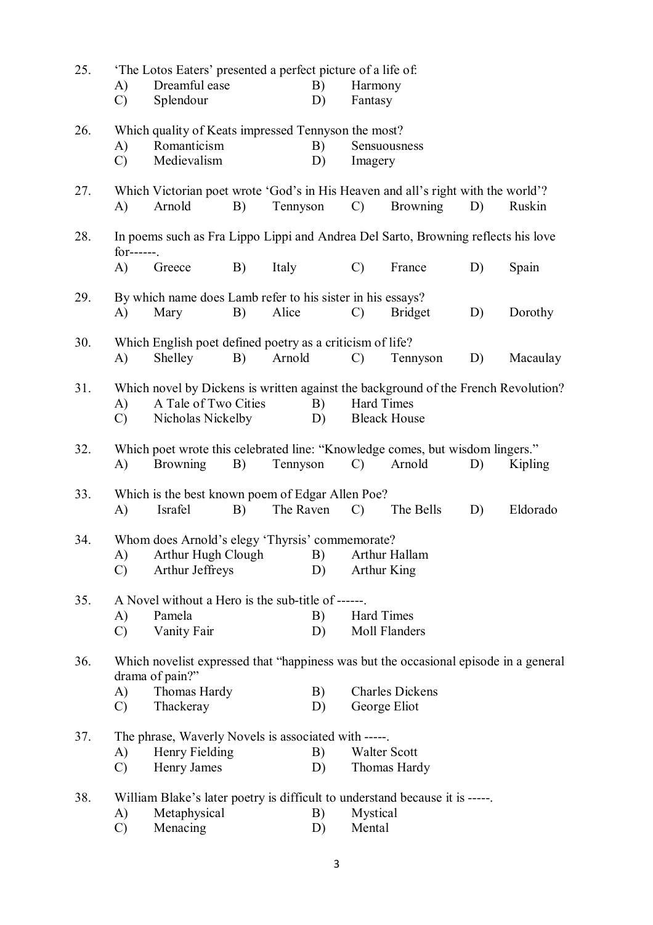| 25. | A)<br>$\mathcal{C}$ | 'The Lotos Eaters' presented a perfect picture of a life of:<br>Dreamful ease<br>Splendour                                      |    |           | B)<br>D) | Harmony<br>Fantasy |                                     |    |          |
|-----|---------------------|---------------------------------------------------------------------------------------------------------------------------------|----|-----------|----------|--------------------|-------------------------------------|----|----------|
| 26. | A)<br>$\mathcal{C}$ | Which quality of Keats impressed Tennyson the most?<br>Romanticism<br>Medievalism                                               |    |           | B)<br>D) | Imagery            | Sensuousness                        |    |          |
| 27. | A)                  | Which Victorian poet wrote 'God's in His Heaven and all's right with the world'?<br>Arnold                                      | B) | Tennyson  |          | $\mathcal{C}$      | <b>Browning</b>                     | D) | Ruskin   |
| 28. | $for---$ .          | In poems such as Fra Lippo Lippi and Andrea Del Sarto, Browning reflects his love                                               |    |           |          |                    |                                     |    |          |
|     | A)                  | Greece                                                                                                                          | B) | Italy     |          | $\mathcal{C}$      | France                              | D) | Spain    |
| 29. | A)                  | By which name does Lamb refer to his sister in his essays?<br>Mary                                                              | B) | Alice     |          | $\mathcal{C}$      | <b>Bridget</b>                      | D) | Dorothy  |
| 30. | $\bf{A}$            | Which English poet defined poetry as a criticism of life?<br>Shelley                                                            | B) | Arnold    |          | $\mathcal{C}$      | Tennyson                            | D) | Macaulay |
| 31. | A)<br>$\mathcal{C}$ | Which novel by Dickens is written against the background of the French Revolution?<br>A Tale of Two Cities<br>Nicholas Nickelby |    |           | B)<br>D) | Hard Times         | <b>Bleack House</b>                 |    |          |
| 32. | A)                  | Which poet wrote this celebrated line: "Knowledge comes, but wisdom lingers."<br><b>Browning</b>                                | B) | Tennyson  |          | $\mathcal{C}$      | Arnold                              | D) | Kipling  |
| 33. | $\bf{A}$            | Which is the best known poem of Edgar Allen Poe?<br>Israfel                                                                     | B) | The Raven |          | $\mathcal{C}$      | The Bells                           | D) | Eldorado |
| 34. | $\mathcal{C}$       | Whom does Arnold's elegy 'Thyrsis' commemorate?<br>A) Arthur Hugh Clough B) Arthur Hallam<br>Arthur Jeffreys                    |    |           | D)       | Arthur King        |                                     |    |          |
| 35. | A)<br>$\mathcal{C}$ | A Novel without a Hero is the sub-title of ------<br>Pamela<br>Vanity Fair                                                      |    |           | B)<br>D) | <b>Hard Times</b>  | Moll Flanders                       |    |          |
| 36. | A)                  | Which novelist expressed that "happiness was but the occasional episode in a general<br>drama of pain?"<br>Thomas Hardy         |    |           | B)       |                    | <b>Charles Dickens</b>              |    |          |
|     | $\mathcal{C}$       | Thackeray                                                                                                                       |    |           | D)       |                    | George Eliot                        |    |          |
| 37. |                     | The phrase, Waverly Novels is associated with -----                                                                             |    |           |          |                    |                                     |    |          |
|     | A)<br>$\mathcal{C}$ | Henry Fielding<br>Henry James                                                                                                   |    |           | B)<br>D) |                    | <b>Walter Scott</b><br>Thomas Hardy |    |          |
| 38. | A)<br>$\mathcal{C}$ | William Blake's later poetry is difficult to understand because it is -----.<br>Metaphysical<br>Menacing                        |    |           | B)<br>D) | Mystical<br>Mental |                                     |    |          |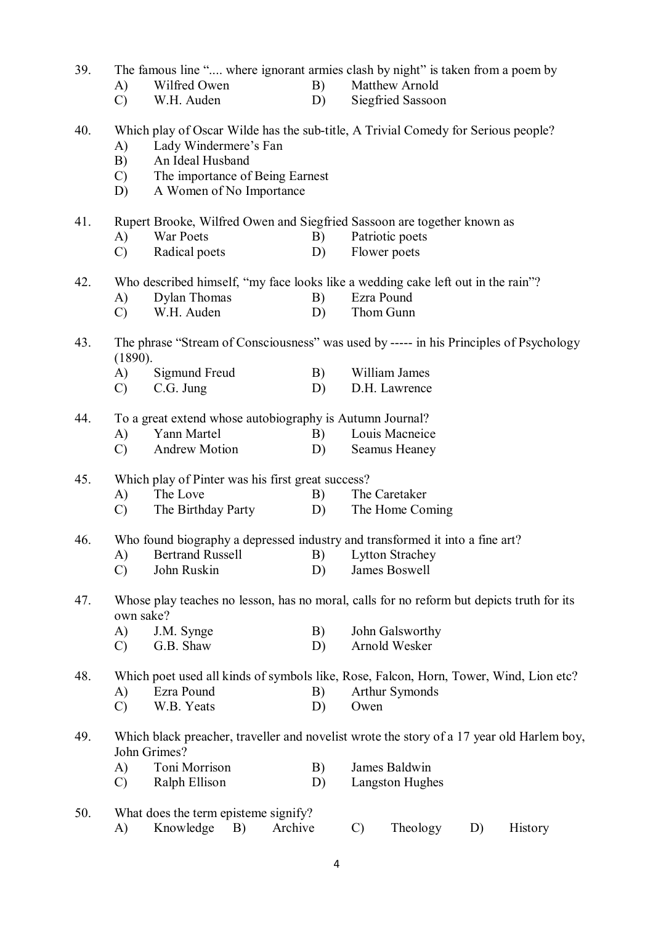| 39. |  |  | The famous line " where ignorant armies clash by night" is taken from a poem by |  |
|-----|--|--|---------------------------------------------------------------------------------|--|
|     |  |  |                                                                                 |  |

- A) Wilfred Owen B) Matthew Arnold
- C) W.H. Auden D) Siegfried Sassoon

# 40. Which play of Oscar Wilde has the sub-title, A Trivial Comedy for Serious people?

- A) Lady Windermere's Fan
- B) An Ideal Husband
- C) The importance of Being Earnest
- D) A Women of No Importance

#### 41. Rupert Brooke, Wilfred Owen and Siegfried Sassoon are together known as

- A) War Poets B) Patriotic poets
- C) Radical poets D) Flower poets

### 42. Who described himself, "my face looks like a wedding cake left out in the rain"?

- A) Dylan Thomas B) Ezra Pound
- C) W.H. Auden D) Thom Gunn

### 43. The phrase "Stream of Consciousness" was used by ----- in his Principles of Psychology (1890).

- A) Sigmund Freud B) William James
- C) C.G. Jung D) D.H. Lawrence

#### 44. To a great extend whose autobiography is Autumn Journal?

- A) Yann Martel B) Louis Macneice
- C) Andrew Motion D) Seamus Heaney

#### 45. Which play of Pinter was his first great success?

- A) The Love B) The Caretaker
- C) The Birthday Party D) The Home Coming

### 46. Who found biography a depressed industry and transformed it into a fine art?

- A) Bertrand Russell B) Lytton Strachey
- C) John Ruskin D) James Boswell

#### 47. Whose play teaches no lesson, has no moral, calls for no reform but depicts truth for its own sake?

| A)            | J.M. Synge | John Galsworthy |
|---------------|------------|-----------------|
| $\mathcal{C}$ | G.B. Shaw  | Arnold Wesker   |

48. Which poet used all kinds of symbols like, Rose, Falcon, Horn, Tower, Wind, Lion etc? A) Ezra Pound B) Arthur Symonds

- 
- C) W.B. Yeats D) Owen

### 49. Which black preacher, traveller and novelist wrote the story of a 17 year old Harlem boy, John Grimes?

- A) Toni Morrison B) James Baldwin
- C) Ralph Ellison D) Langston Hughes

## 50. What does the term episteme signify? A) Knowledge B) Archive C) Theology D) History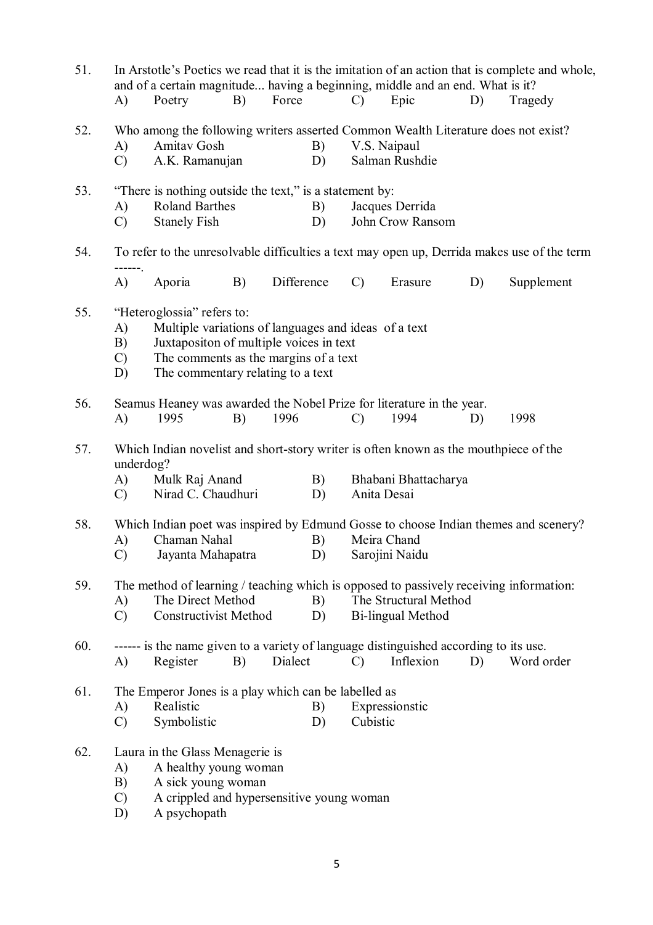| 51.<br>In Arstotle's Poetics we read that it is the imitation of an action that is complete and whole,<br>and of a certain magnitude having a beginning, middle and an end. What is it? |                                                            |                                                         |    |            |    |               |                                                                                        |    |                                                                                             |
|-----------------------------------------------------------------------------------------------------------------------------------------------------------------------------------------|------------------------------------------------------------|---------------------------------------------------------|----|------------|----|---------------|----------------------------------------------------------------------------------------|----|---------------------------------------------------------------------------------------------|
|                                                                                                                                                                                         | A)                                                         | Poetry                                                  | B) | Force      |    | $\mathcal{C}$ | Epic                                                                                   | D) | Tragedy                                                                                     |
| 52.                                                                                                                                                                                     |                                                            |                                                         |    |            |    |               | Who among the following writers asserted Common Wealth Literature does not exist?      |    |                                                                                             |
|                                                                                                                                                                                         | A)                                                         | Amitav Gosh                                             |    |            | B) |               | V.S. Naipaul                                                                           |    |                                                                                             |
|                                                                                                                                                                                         | $\mathcal{C}$                                              | A.K. Ramanujan                                          |    |            | D) |               | Salman Rushdie                                                                         |    |                                                                                             |
| 53.                                                                                                                                                                                     |                                                            | "There is nothing outside the text," is a statement by: |    |            |    |               |                                                                                        |    |                                                                                             |
|                                                                                                                                                                                         | A)                                                         | <b>Roland Barthes</b>                                   |    |            | B) |               | Jacques Derrida                                                                        |    |                                                                                             |
|                                                                                                                                                                                         | $\mathcal{C}$                                              | <b>Stanely Fish</b>                                     |    |            | D) |               | John Crow Ransom                                                                       |    |                                                                                             |
| 54.                                                                                                                                                                                     | ------                                                     |                                                         |    |            |    |               |                                                                                        |    | To refer to the unresolvable difficulties a text may open up, Derrida makes use of the term |
|                                                                                                                                                                                         | A)                                                         | Aporia                                                  | B) | Difference |    | $\mathcal{C}$ | Erasure                                                                                | D) | Supplement                                                                                  |
| 55.                                                                                                                                                                                     |                                                            | "Heteroglossia" refers to:                              |    |            |    |               |                                                                                        |    |                                                                                             |
|                                                                                                                                                                                         | Multiple variations of languages and ideas of a text<br>A) |                                                         |    |            |    |               |                                                                                        |    |                                                                                             |
|                                                                                                                                                                                         | B)                                                         | Juxtapositon of multiple voices in text                 |    |            |    |               |                                                                                        |    |                                                                                             |
|                                                                                                                                                                                         | The comments as the margins of a text<br>$\mathcal{C}$     |                                                         |    |            |    |               |                                                                                        |    |                                                                                             |
|                                                                                                                                                                                         | D)                                                         | The commentary relating to a text                       |    |            |    |               |                                                                                        |    |                                                                                             |
| 56.                                                                                                                                                                                     |                                                            |                                                         |    |            |    |               | Seamus Heaney was awarded the Nobel Prize for literature in the year.                  |    |                                                                                             |
|                                                                                                                                                                                         | A)                                                         | 1995                                                    | B) | 1996       |    | $\mathcal{C}$ | 1994                                                                                   | D) | 1998                                                                                        |
| 57.                                                                                                                                                                                     | underdog?                                                  |                                                         |    |            |    |               | Which Indian novelist and short-story writer is often known as the mouthpiece of the   |    |                                                                                             |
|                                                                                                                                                                                         | A)                                                         | Mulk Raj Anand                                          |    |            | B) |               | Bhabani Bhattacharya                                                                   |    |                                                                                             |
|                                                                                                                                                                                         | $\mathcal{C}$ )                                            | Nirad C. Chaudhuri                                      |    |            | D) | Anita Desai   |                                                                                        |    |                                                                                             |
| 58.                                                                                                                                                                                     |                                                            |                                                         |    |            |    |               |                                                                                        |    | Which Indian poet was inspired by Edmund Gosse to choose Indian themes and scenery?         |
|                                                                                                                                                                                         | A)                                                         | Chaman Nahal                                            |    |            | B) |               | Meira Chand                                                                            |    |                                                                                             |
|                                                                                                                                                                                         | $\mathcal{C}$                                              | Jayanta Mahapatra                                       |    |            | D) |               | Sarojini Naidu                                                                         |    |                                                                                             |
| 59.                                                                                                                                                                                     |                                                            |                                                         |    |            |    |               | The method of learning / teaching which is opposed to passively receiving information: |    |                                                                                             |
|                                                                                                                                                                                         | A)                                                         | The Direct Method                                       |    |            | B) |               | The Structural Method                                                                  |    |                                                                                             |
|                                                                                                                                                                                         | $\mathcal{C}$                                              | <b>Constructivist Method</b>                            |    |            | D) |               | <b>Bi-lingual Method</b>                                                               |    |                                                                                             |
| 60.                                                                                                                                                                                     |                                                            |                                                         |    |            |    |               | ------ is the name given to a variety of language distinguished according to its use.  |    |                                                                                             |
|                                                                                                                                                                                         | A)                                                         | Register                                                | B) | Dialect    |    | $\mathcal{C}$ | Inflexion                                                                              | D) | Word order                                                                                  |
| 61.                                                                                                                                                                                     |                                                            | The Emperor Jones is a play which can be labelled as    |    |            |    |               |                                                                                        |    |                                                                                             |
|                                                                                                                                                                                         | A)                                                         | Realistic                                               |    |            | B) |               | Expressionstic                                                                         |    |                                                                                             |
|                                                                                                                                                                                         | $\mathcal{C}$                                              | Symbolistic                                             |    |            | D) | Cubistic      |                                                                                        |    |                                                                                             |
| 62.                                                                                                                                                                                     |                                                            | Laura in the Glass Menagerie is                         |    |            |    |               |                                                                                        |    |                                                                                             |
|                                                                                                                                                                                         | A)                                                         | A healthy young woman                                   |    |            |    |               |                                                                                        |    |                                                                                             |
|                                                                                                                                                                                         | B)                                                         | A sick young woman                                      |    |            |    |               |                                                                                        |    |                                                                                             |
|                                                                                                                                                                                         | $\mathcal{C}$                                              | A crippled and hypersensitive young woman               |    |            |    |               |                                                                                        |    |                                                                                             |
|                                                                                                                                                                                         | D)                                                         | A psychopath                                            |    |            |    |               |                                                                                        |    |                                                                                             |
|                                                                                                                                                                                         |                                                            |                                                         |    |            |    |               |                                                                                        |    |                                                                                             |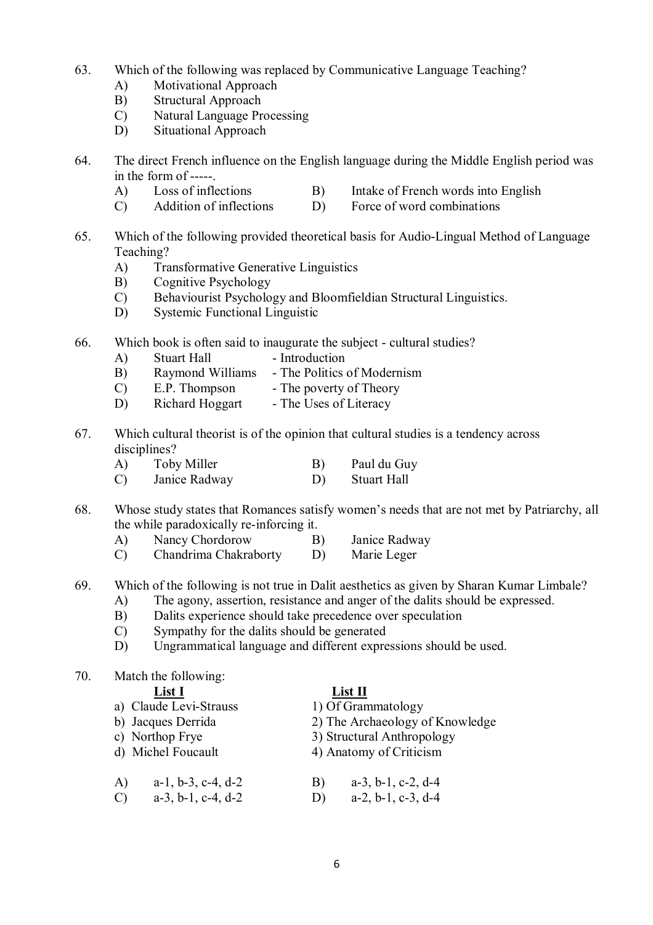- 63. Which of the following was replaced by Communicative Language Teaching?
	- A) Motivational Approach
	- B) Structural Approach
	- C) Natural Language Processing
	- D) Situational Approach
- 64. The direct French influence on the English language during the Middle English period was in the form of -----.
	- A) Loss of inflections B) Intake of French words into English
	- C) Addition of inflections D) Force of word combinations
- 65. Which of the following provided theoretical basis for Audio-Lingual Method of Language Teaching?
	- A) Transformative Generative Linguistics
	- B) Cognitive Psychology
	- C) Behaviourist Psychology and Bloomfieldian Structural Linguistics.
	- D) Systemic Functional Linguistic
- 66. Which book is often said to inaugurate the subject cultural studies?
	- A) Stuart Hall Introduction
	- B) Raymond Williams The Politics of Modernism
	- C) E.P. Thompson The poverty of Theory
	- D) Richard Hoggart The Uses of Literacy
- 67. Which cultural theorist is of the opinion that cultural studies is a tendency across disciplines?
	- A) Toby Miller B) Paul du Guy
	- C) Janice Radway D) Stuart Hall
- 68. Whose study states that Romances satisfy women's needs that are not met by Patriarchy, all the while paradoxically re-inforcing it.
	- A) Nancy Chordorow B) Janice Radway
	- C) Chandrima Chakraborty D) Marie Leger
- 69. Which of the following is not true in Dalit aesthetics as given by Sharan Kumar Limbale?
	- A) The agony, assertion, resistance and anger of the dalits should be expressed.
	- B) Dalits experience should take precedence over speculation
	- C) Sympathy for the dalits should be generated<br>D) Ungrammatical language and different expre
	- D) Ungrammatical language and different expressions should be used.
- 70. Match the following:

## **List I**<br>
lexi-Strauss 1) Of Grammatology a) Claude Levi-Strauss b) Jacques Derrida 2) The Archaeology of Knowledge c) Northop Frye 3) Structural Anthropology<br>d) Michel Foucault 4) Anatomy of Criticism 4) Anatomy of Criticism A) a-1, b-3, c-4, d-2 B) a-3, b-1, c-2, d-4 C) a-3, b-1, c-4, d-2 D) a-2, b-1, c-3, d-4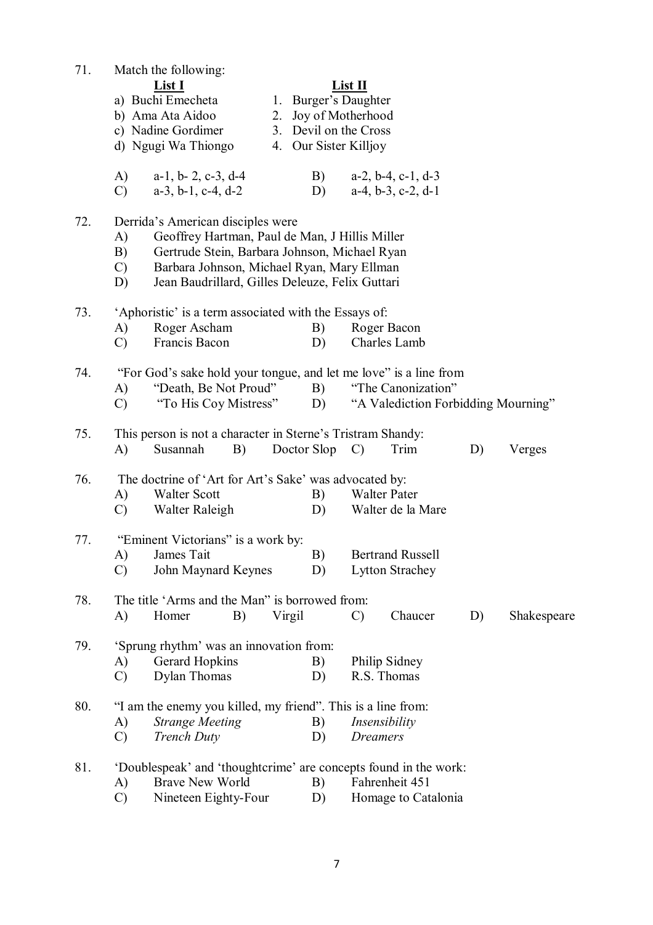| 71. | Match the following:<br>List I<br>a) Buchi Emecheta<br>b) Ama Ata Aidoo<br>c) Nadine Gordimer<br>d) Ngugi Wa Thiongo                                                                                                                                                     | List II<br>1. Burger's Daughter<br>2. Joy of Motherhood<br>3. Devil on the Cross<br>4. Our Sister Killjoy |
|-----|--------------------------------------------------------------------------------------------------------------------------------------------------------------------------------------------------------------------------------------------------------------------------|-----------------------------------------------------------------------------------------------------------|
|     | A)<br>$a-1$ , $b-2$ , $c-3$ , $d-4$<br>$a-3$ , $b-1$ , $c-4$ , $d-2$<br>$\mathcal{C}$<br>D)                                                                                                                                                                              | B)<br>$a-2$ , $b-4$ , $c-1$ , $d-3$<br>$a-4, b-3, c-2, d-1$                                               |
| 72. | Derrida's American disciples were<br>Geoffrey Hartman, Paul de Man, J Hillis Miller<br>A)<br>Gertrude Stein, Barbara Johnson, Michael Ryan<br>B)<br>Barbara Johnson, Michael Ryan, Mary Ellman<br>$\mathcal{C}$<br>D)<br>Jean Baudrillard, Gilles Deleuze, Felix Guttari |                                                                                                           |
| 73. | 'Aphoristic' is a term associated with the Essays of:<br>Roger Ascham<br>B)<br>A)<br>$\mathcal{C}$<br>Francis Bacon<br>D)                                                                                                                                                | Roger Bacon<br>Charles Lamb                                                                               |
| 74. | "For God's sake hold your tongue, and let me love" is a line from<br>"Death, Be Not Proud"<br>A)<br>B)<br>"To His Coy Mistress"<br>$\mathcal{C}$<br>D)                                                                                                                   | "The Canonization"<br>"A Valediction Forbidding Mourning"                                                 |
| 75. | This person is not a character in Sterne's Tristram Shandy:<br>Susannah<br>B)<br>Doctor Slop<br>A)                                                                                                                                                                       | Trim<br>D)<br>Verges<br>$\mathcal{C}$                                                                     |
| 76. | The doctrine of 'Art for Art's Sake' was advocated by:<br><b>Walter Scott</b><br>B)<br>A)<br>Walter Raleigh<br>$\mathcal{C}$<br>D)                                                                                                                                       | <b>Walter Pater</b><br>Walter de la Mare                                                                  |
| 77. | "Eminent Victorians" is a work by:<br>A)<br>James Tait<br>B)<br>$\mathcal{C}$<br>John Maynard Keynes<br>D)                                                                                                                                                               | <b>Bertrand Russell</b><br><b>Lytton Strachey</b>                                                         |
| 78. | The title 'Arms and the Man" is borrowed from:<br>Virgil<br>A)<br>Homer<br>B)                                                                                                                                                                                            | Chaucer<br>$\mathcal{C}$<br>D)<br>Shakespeare                                                             |
| 79. | 'Sprung rhythm' was an innovation from:<br><b>Gerard Hopkins</b><br>B)<br>A)<br>Dylan Thomas<br>$\mathcal{C}$<br>D)                                                                                                                                                      | Philip Sidney<br>R.S. Thomas                                                                              |
| 80. | "I am the enemy you killed, my friend". This is a line from:<br><b>Strange Meeting</b><br>A)<br>B)<br>$\mathcal{C}$<br><b>Trench Duty</b><br>D)                                                                                                                          | Insensibility<br><b>Dreamers</b>                                                                          |
| 81. | 'Doublespeak' and 'thoughtcrime' are concepts found in the work:<br><b>Brave New World</b><br>B)<br>A)<br>$\mathcal{C}$<br>Nineteen Eighty-Four<br>D)                                                                                                                    | Fahrenheit 451<br>Homage to Catalonia                                                                     |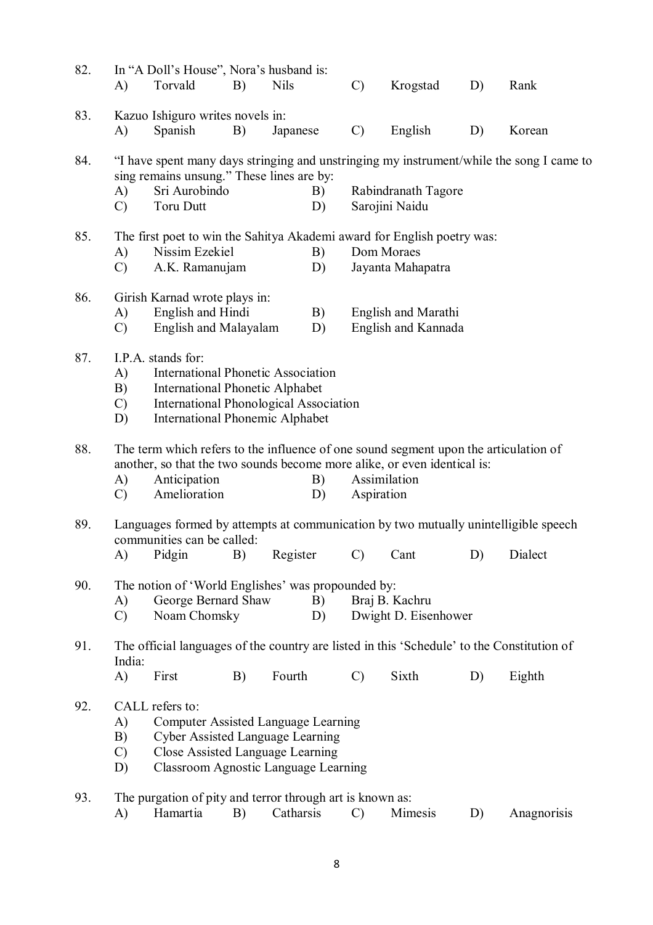| 82. | A)                              | In "A Doll's House", Nora's husband is:<br>Torvald                                                                                                                                                   | B)         | <b>Nils</b> | $\mathcal{C}$ | Krogstad                                   | D) | Rank                                                                                           |
|-----|---------------------------------|------------------------------------------------------------------------------------------------------------------------------------------------------------------------------------------------------|------------|-------------|---------------|--------------------------------------------|----|------------------------------------------------------------------------------------------------|
| 83. | A)                              | Kazuo Ishiguro writes novels in:<br>Spanish                                                                                                                                                          | B)         | Japanese    | $\mathcal{C}$ | English                                    | D) | Korean                                                                                         |
| 84. | A)<br>$\mathcal{C}$             | sing remains unsung." These lines are by:<br>Sri Aurobindo<br><b>Toru Dutt</b>                                                                                                                       |            | B)<br>D)    |               | Rabindranath Tagore<br>Sarojini Naidu      |    | "I have spent many days stringing and unstringing my instrument/while the song I came to       |
| 85. | A)<br>$\mathcal{C}$             | The first poet to win the Sahitya Akademi award for English poetry was:<br>Nissim Ezekiel<br>A.K. Ramanujam                                                                                          |            | B)<br>D)    |               | Dom Moraes<br>Jayanta Mahapatra            |    |                                                                                                |
| 86. | A)<br>$\mathcal{C}$             | Girish Karnad wrote plays in:<br>English and Hindi<br>English and Malayalam                                                                                                                          |            | B)<br>D)    |               | English and Marathi<br>English and Kannada |    |                                                                                                |
| 87. | A)<br>B)<br>$\mathcal{C}$<br>D) | I.P.A. stands for:<br><b>International Phonetic Association</b><br><b>International Phonetic Alphabet</b><br><b>International Phonological Association</b><br><b>International Phonemic Alphabet</b> |            |             |               |                                            |    |                                                                                                |
| 88. | A)<br>$\mathcal{C}$             | The term which refers to the influence of one sound segment upon the articulation of<br>another, so that the two sounds become more alike, or even identical is:<br>Anticipation<br>Amelioration     |            | B)<br>D)    | Aspiration    | Assimilation                               |    |                                                                                                |
| 89. | $\bf{A}$                        | communities can be called:<br>Pidgin                                                                                                                                                                 | <b>B</b> ) |             |               | Register C) Cant                           | D) | Languages formed by attempts at communication by two mutually unintelligible speech<br>Dialect |
| 90. | A)<br>$\mathcal{C}$             | The notion of 'World Englishes' was propounded by:<br>George Bernard Shaw<br>Noam Chomsky                                                                                                            |            | B)<br>D)    |               | Braj B. Kachru<br>Dwight D. Eisenhower     |    |                                                                                                |
| 91. | India:<br>$\mathbf{A}$          | The official languages of the country are listed in this 'Schedule' to the Constitution of<br>First                                                                                                  | B)         | Fourth      | $\mathcal{C}$ | Sixth                                      | D) | Eighth                                                                                         |
| 92. | A)<br>B)<br>$\mathcal{C}$<br>D) | CALL refers to:<br><b>Computer Assisted Language Learning</b><br><b>Cyber Assisted Language Learning</b><br>Close Assisted Language Learning<br><b>Classroom Agnostic Language Learning</b>          |            |             |               |                                            |    |                                                                                                |
| 93. | A)                              | The purgation of pity and terror through art is known as:<br>Hamartia                                                                                                                                | B)         | Catharsis   | $\mathcal{C}$ | Mimesis                                    | D) | Anagnorisis                                                                                    |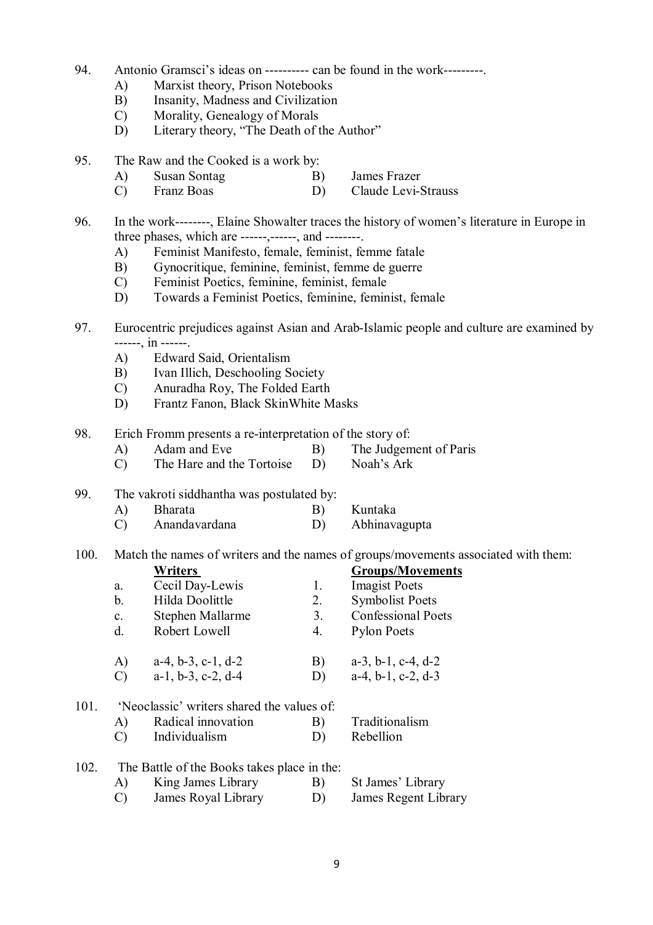- 94. Antonio Gramsci's ideas on ---------- can be found in the work---------.
	- A) Marxist theory, Prison Notebooks
	- B) Insanity, Madness and Civilization
	- C) Morality, Genealogy of Morals
	- D) Literary theory, "The Death of the Author"
- 95. The Raw and the Cooked is a work by:
	- A) Susan Sontag B) James Frazer<br>
	C) Franz Boas D) Claude Levi-S
	- C) Franz Boas D) Claude Levi-Strauss

96. In the work--------, Elaine Showalter traces the history of women's literature in Europe in three phases, which are ------,  $-$ ------, and  $-$ -------

- A) Feminist Manifesto, female, feminist, femme fatale
- B) Gynocritique, feminine, feminist, femme de guerre
- C) Feminist Poetics, feminine, feminist, female
- D) Towards a Feminist Poetics, feminine, feminist, female
- 97. Eurocentric prejudices against Asian and Arab-Islamic people and culture are examined by ------, in ------.
	- A) Edward Said, Orientalism
	- B) Ivan Illich, Deschooling Society
	- C) Anuradha Roy, The Folded Earth
	- D) Frantz Fanon, Black SkinWhite Masks
- 98. Erich Fromm presents a re-interpretation of the story of:
	- A) Adam and Eve B) The Judgement of Paris
	- C) The Hare and the Tortoise D) Noah's Ark
- 99. The vakroti siddhantha was postulated by:
	- A) Bharata B) Kuntaka C) Anandavardana D) Abhinavagupta
- 100. Match the names of writers and the names of groups/movements associated with them:

|     |                | Writers                                    |    | <b>Groups/Movements</b>       |
|-----|----------------|--------------------------------------------|----|-------------------------------|
|     | a.             | Cecil Day-Lewis                            | 1. | <b>Imagist Poets</b>          |
|     | b.             | Hilda Doolittle                            | 2. | <b>Symbolist Poets</b>        |
|     | $\mathbf{c}$ . | Stephen Mallarme                           | 3. | <b>Confessional Poets</b>     |
|     | d.             | Robert Lowell                              | 4. | <b>Pylon Poets</b>            |
|     | A)             | $a-4, b-3, c-1, d-2$                       | B) | $a-3$ , $b-1$ , $c-4$ , $d-2$ |
|     | $\mathcal{C}$  | $a-1$ , $b-3$ , $c-2$ , $d-4$              | D) | $a-4, b-1, c-2, d-3$          |
| 101 |                | 'Neoclassic' writers shared the values of: |    |                               |
|     | A)             | Radical innovation                         | B) | Traditionalism                |
|     | C)             | Individualism                              | D) | Rebellion                     |
|     |                |                                            |    |                               |

102. The Battle of the Books takes place in the: A) King James Library B) St James' Library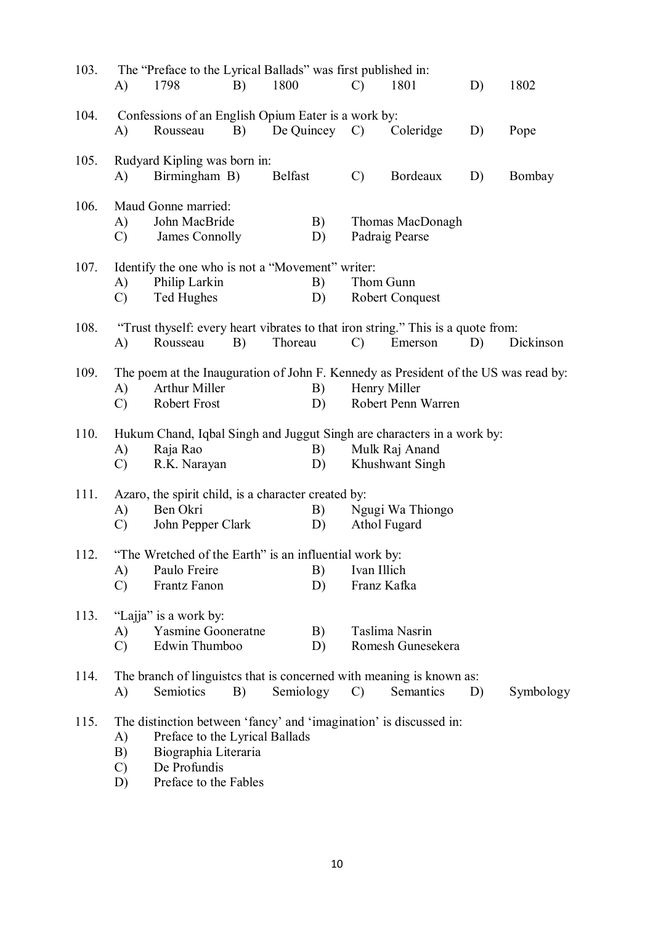| 103. | A)                              | The "Preface to the Lyrical Ballads" was first published in:<br>1798                                                                                                  | B) | 1800             |          | $\mathcal{C}$ | 1801                                | D) | 1802      |
|------|---------------------------------|-----------------------------------------------------------------------------------------------------------------------------------------------------------------------|----|------------------|----------|---------------|-------------------------------------|----|-----------|
| 104. | A)                              | Confessions of an English Opium Eater is a work by:<br>Rousseau                                                                                                       | B) | De Quincey $C$ ) |          |               | Coleridge                           | D) | Pope      |
| 105. | A)                              | Rudyard Kipling was born in:<br>Birmingham B)                                                                                                                         |    | <b>Belfast</b>   |          | $\mathcal{C}$ | Bordeaux                            | D) | Bombay    |
| 106. | A)<br>$\mathcal{C}$             | Maud Gonne married:<br>John MacBride<br>James Connolly                                                                                                                |    |                  | B)<br>D) |               | Thomas MacDonagh<br>Padraig Pearse  |    |           |
| 107. | A)<br>$\mathcal{C}$             | Identify the one who is not a "Movement" writer:<br>Philip Larkin<br>Ted Hughes                                                                                       |    |                  | B)<br>D) |               | Thom Gunn<br><b>Robert Conquest</b> |    |           |
| 108. | A)                              | "Trust thyself: every heart vibrates to that iron string." This is a quote from:<br>Rousseau                                                                          | B) | Thoreau          |          | $\mathcal{C}$ | Emerson                             | D) | Dickinson |
| 109. | A)<br>$\mathcal{C}$             | The poem at the Inauguration of John F. Kennedy as President of the US was read by:<br>Arthur Miller<br>Robert Frost                                                  |    |                  | B)<br>D) |               | Henry Miller<br>Robert Penn Warren  |    |           |
| 110. | A)<br>$\mathcal{C}$             | Hukum Chand, Iqbal Singh and Juggut Singh are characters in a work by:<br>Raja Rao<br>R.K. Narayan                                                                    |    |                  | B)<br>D) |               | Mulk Raj Anand<br>Khushwant Singh   |    |           |
| 111. | A)<br>$\mathcal{C}$             | Azaro, the spirit child, is a character created by:<br>Ben Okri<br>John Pepper Clark                                                                                  |    |                  | B)<br>D) |               | Ngugi Wa Thiongo<br>Athol Fugard    |    |           |
| 112. | A)<br>$\mathcal{C}$             | "The Wretched of the Earth" is an influential work by:<br>Paulo Freire<br>Frantz Fanon                                                                                |    |                  | B)<br>D) | Ivan Illich   | Franz Kafka                         |    |           |
| 113. | A)<br>$\mathcal{C}$             | "Lajja" is a work by:<br>Yasmine Gooneratne<br>Edwin Thumboo                                                                                                          |    |                  | B)<br>D) |               | Taslima Nasrin<br>Romesh Gunesekera |    |           |
| 114. | A)                              | The branch of linguistes that is concerned with meaning is known as:<br>Semiotics                                                                                     | B) | Semiology        |          | $\mathcal{C}$ | Semantics                           | D) | Symbology |
| 115. | A)<br>B)<br>$\mathcal{C}$<br>D) | The distinction between 'fancy' and 'imagination' is discussed in:<br>Preface to the Lyrical Ballads<br>Biographia Literaria<br>De Profundis<br>Preface to the Fables |    |                  |          |               |                                     |    |           |